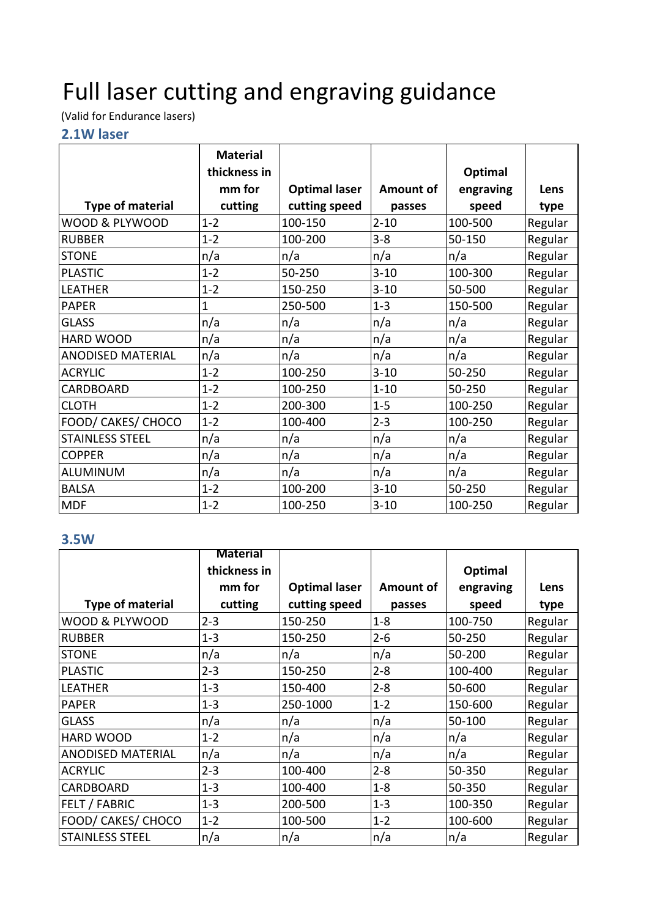# Full laser cutting and engraving guidance

(Valid for Endurance lasers)

#### **2.1W laser**

|                          | <b>Material</b> |                      |                  |           |         |
|--------------------------|-----------------|----------------------|------------------|-----------|---------|
|                          | thickness in    |                      |                  | Optimal   |         |
|                          | mm for          | <b>Optimal laser</b> | <b>Amount of</b> | engraving | Lens    |
| <b>Type of material</b>  | cutting         | cutting speed        | passes           | speed     | type    |
| WOOD & PLYWOOD           | $1 - 2$         | 100-150              | $2 - 10$         | 100-500   | Regular |
| <b>RUBBER</b>            | $1 - 2$         | 100-200              | $3 - 8$          | 50-150    | Regular |
| <b>STONE</b>             | n/a             | n/a                  | n/a              | n/a       | Regular |
| <b>PLASTIC</b>           | $1 - 2$         | 50-250               | $3 - 10$         | 100-300   | Regular |
| <b>LEATHER</b>           | $1 - 2$         | 150-250              | $3 - 10$         | 50-500    | Regular |
| <b>PAPER</b>             | 1               | 250-500              | $1 - 3$          | 150-500   | Regular |
| <b>GLASS</b>             | n/a             | n/a                  | n/a              | n/a       | Regular |
| <b>HARD WOOD</b>         | n/a             | n/a                  | n/a              | n/a       | Regular |
| <b>ANODISED MATERIAL</b> | n/a             | n/a                  | n/a              | n/a       | Regular |
| <b>ACRYLIC</b>           | $1 - 2$         | 100-250              | $3 - 10$         | 50-250    | Regular |
| <b>CARDBOARD</b>         | $1 - 2$         | 100-250              | $1 - 10$         | 50-250    | Regular |
| <b>CLOTH</b>             | $1 - 2$         | 200-300              | $1 - 5$          | 100-250   | Regular |
| FOOD/ CAKES/ CHOCO       | $1 - 2$         | 100-400              | $2 - 3$          | 100-250   | Regular |
| <b>STAINLESS STEEL</b>   | n/a             | n/a                  | n/a              | n/a       | Regular |
| <b>COPPER</b>            | n/a             | n/a                  | n/a              | n/a       | Regular |
| <b>ALUMINUM</b>          | n/a             | n/a                  | n/a              | n/a       | Regular |
| <b>BALSA</b>             | $1 - 2$         | 100-200              | $3 - 10$         | 50-250    | Regular |
| <b>MDF</b>               | $1 - 2$         | 100-250              | $3 - 10$         | 100-250   | Regular |

#### **3.5W**

|                          | <b>Material</b> |                      |           |           |         |
|--------------------------|-----------------|----------------------|-----------|-----------|---------|
|                          | thickness in    |                      |           | Optimal   |         |
|                          | mm for          | <b>Optimal laser</b> | Amount of | engraving | Lens    |
| <b>Type of material</b>  | cutting         | cutting speed        | passes    | speed     | type    |
| WOOD & PLYWOOD           | $2 - 3$         | 150-250              | $1 - 8$   | 100-750   | Regular |
| <b>RUBBER</b>            | $1 - 3$         | 150-250              | $2 - 6$   | 50-250    | Regular |
| <b>STONE</b>             | n/a             | n/a                  | n/a       | 50-200    | Regular |
| <b>PLASTIC</b>           | $2 - 3$         | 150-250              | $2 - 8$   | 100-400   | Regular |
| <b>LEATHER</b>           | $1 - 3$         | 150-400              | $2 - 8$   | 50-600    | Regular |
| <b>PAPER</b>             | $1 - 3$         | 250-1000             | $1 - 2$   | 150-600   | Regular |
| <b>GLASS</b>             | n/a             | n/a                  | n/a       | 50-100    | Regular |
| HARD WOOD                | $1 - 2$         | n/a                  | n/a       | n/a       | Regular |
| <b>ANODISED MATERIAL</b> | n/a             | n/a                  | n/a       | n/a       | Regular |
| <b>ACRYLIC</b>           | $2 - 3$         | 100-400              | $2 - 8$   | 50-350    | Regular |
| CARDBOARD                | $1 - 3$         | 100-400              | $1 - 8$   | 50-350    | Regular |
| FELT / FABRIC            | $1 - 3$         | 200-500              | $1 - 3$   | 100-350   | Regular |
| FOOD/ CAKES/ CHOCO       | $1 - 2$         | 100-500              | $1 - 2$   | 100-600   | Regular |
| <b>STAINLESS STEEL</b>   | n/a             | n/a                  | n/a       | n/a       | Regular |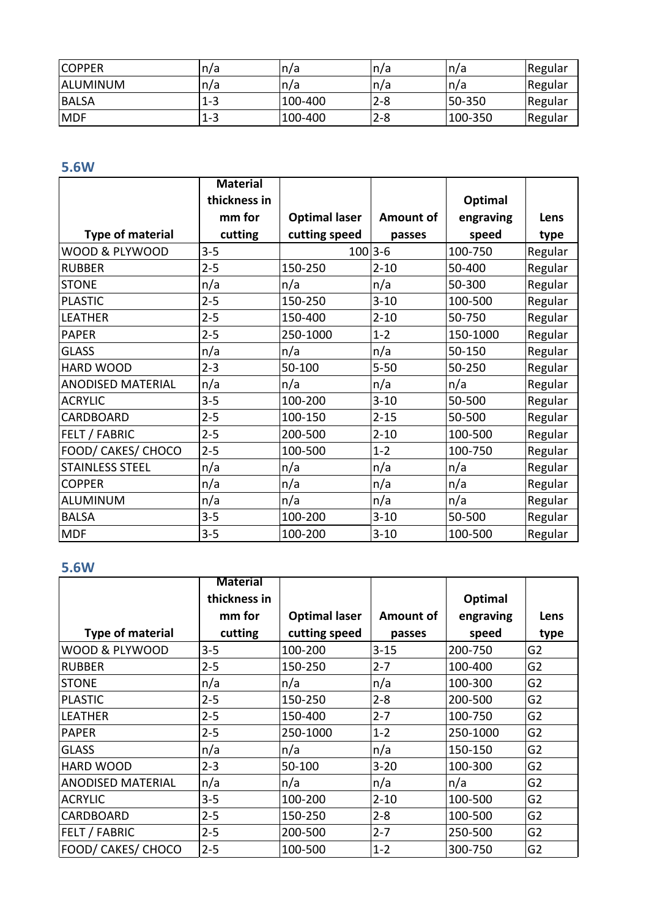| <b>COPPER</b>   | n/a | n/a     | 'n/a    | n/a          | Regular |
|-----------------|-----|---------|---------|--------------|---------|
| <b>ALUMINUM</b> | n/a | n/a     | 'n/a    | n/a          | Regular |
| <b>BALSA</b>    | 1-3 | 100-400 | $2 - 8$ | 50-350       | Regular |
| <b>MDF</b>      | 1-3 | 100-400 | $2 - 8$ | $ 100 - 350$ | Regular |

## **5.6W**

|                          | <b>Material</b> |                      |                  |           |         |
|--------------------------|-----------------|----------------------|------------------|-----------|---------|
|                          | thickness in    |                      |                  | Optimal   |         |
|                          | mm for          | <b>Optimal laser</b> | <b>Amount of</b> | engraving | Lens    |
| <b>Type of material</b>  | cutting         | cutting speed        | passes           | speed     | type    |
| WOOD & PLYWOOD           | $3 - 5$         | $100 3-6$            |                  | 100-750   | Regular |
| <b>RUBBER</b>            | $2 - 5$         | 150-250              | $2 - 10$         | 50-400    | Regular |
| <b>STONE</b>             | n/a             | n/a                  | n/a              | 50-300    | Regular |
| <b>PLASTIC</b>           | $2 - 5$         | 150-250              | $3 - 10$         | 100-500   | Regular |
| <b>LEATHER</b>           | $2 - 5$         | 150-400              | $2 - 10$         | 50-750    | Regular |
| <b>PAPER</b>             | $2 - 5$         | 250-1000             | $1 - 2$          | 150-1000  | Regular |
| <b>GLASS</b>             | n/a             | n/a                  | n/a              | 50-150    | Regular |
| <b>HARD WOOD</b>         | $2 - 3$         | 50-100               | $5 - 50$         | 50-250    | Regular |
| <b>ANODISED MATERIAL</b> | n/a             | n/a                  | n/a              | n/a       | Regular |
| <b>ACRYLIC</b>           | $3 - 5$         | 100-200              | $3 - 10$         | 50-500    | Regular |
| CARDBOARD                | $2 - 5$         | 100-150              | $2 - 15$         | 50-500    | Regular |
| FELT / FABRIC            | $2 - 5$         | 200-500              | $2 - 10$         | 100-500   | Regular |
| FOOD/ CAKES/ CHOCO       | $2 - 5$         | 100-500              | $1 - 2$          | 100-750   | Regular |
| <b>STAINLESS STEEL</b>   | n/a             | n/a                  | n/a              | n/a       | Regular |
| <b>COPPER</b>            | n/a             | n/a                  | n/a              | n/a       | Regular |
| ALUMINUM                 | n/a             | n/a                  | n/a              | n/a       | Regular |
| <b>BALSA</b>             | $3 - 5$         | 100-200              | $3 - 10$         | 50-500    | Regular |
| <b>MDF</b>               | $3 - 5$         | 100-200              | $3 - 10$         | 100-500   | Regular |

#### **5.6W**

|                          | <b>Material</b> |                      |                  |           |                |
|--------------------------|-----------------|----------------------|------------------|-----------|----------------|
|                          | thickness in    |                      |                  | Optimal   |                |
|                          | mm for          | <b>Optimal laser</b> | <b>Amount of</b> | engraving | Lens           |
| <b>Type of material</b>  | cutting         | cutting speed        | passes           | speed     | type           |
| WOOD & PLYWOOD           | $3 - 5$         | 100-200              | $3 - 15$         | 200-750   | G <sub>2</sub> |
| <b>RUBBER</b>            | $2 - 5$         | 150-250              | $2 - 7$          | 100-400   | G <sub>2</sub> |
| <b>STONE</b>             | n/a             | n/a                  | n/a              | 100-300   | G <sub>2</sub> |
| <b>PLASTIC</b>           | $2 - 5$         | 150-250              | $2 - 8$          | 200-500   | G <sub>2</sub> |
| <b>LEATHER</b>           | $2 - 5$         | 150-400              | $2 - 7$          | 100-750   | G <sub>2</sub> |
| <b>PAPER</b>             | $2 - 5$         | 250-1000             | $1 - 2$          | 250-1000  | G <sub>2</sub> |
| <b>GLASS</b>             | n/a             | n/a                  | n/a              | 150-150   | G <sub>2</sub> |
| <b>HARD WOOD</b>         | $2 - 3$         | 50-100               | $3 - 20$         | 100-300   | G <sub>2</sub> |
| <b>ANODISED MATERIAL</b> | n/a             | n/a                  | n/a              | n/a       | G <sub>2</sub> |
| <b>ACRYLIC</b>           | $3 - 5$         | 100-200              | $2 - 10$         | 100-500   | G <sub>2</sub> |
| <b>CARDBOARD</b>         | $2 - 5$         | 150-250              | $2 - 8$          | 100-500   | G <sub>2</sub> |
| <b>FELT / FABRIC</b>     | $2 - 5$         | 200-500              | $2 - 7$          | 250-500   | G <sub>2</sub> |
| FOOD/ CAKES/ CHOCO       | $2 - 5$         | 100-500              | $1 - 2$          | 300-750   | G <sub>2</sub> |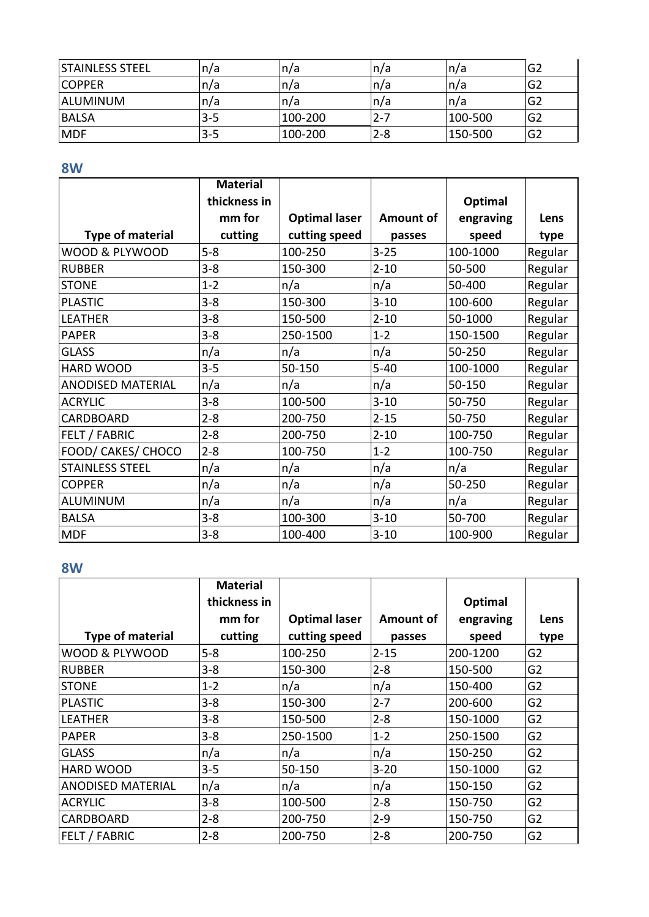| <b>STAINLESS STEEL</b> | In/a    | n/a     | ∣n/a    | n/a     | G2             |
|------------------------|---------|---------|---------|---------|----------------|
| <b>COPPER</b>          | n/a     | n/a     | ∣n/a    | n/a     | G <sub>2</sub> |
| <b>ALUMINUM</b>        | n/a     | n/a     | ∣n/a    | n/a     | G <sub>2</sub> |
| <b>BALSA</b>           | $3 - 5$ | 100-200 | 2-7     | 100-500 | G <sub>2</sub> |
| <b>MDF</b>             | $3 - 5$ | 100-200 | $2 - 8$ | 150-500 | G <sub>2</sub> |

### **8W**

|                          | <b>Material</b> |                      |           |           |         |
|--------------------------|-----------------|----------------------|-----------|-----------|---------|
|                          | thickness in    |                      |           | Optimal   |         |
|                          | mm for          | <b>Optimal laser</b> | Amount of | engraving | Lens    |
| <b>Type of material</b>  | cutting         | cutting speed        | passes    | speed     | type    |
| WOOD & PLYWOOD           | $5 - 8$         | 100-250              | $3 - 25$  | 100-1000  | Regular |
| <b>RUBBER</b>            | $3 - 8$         | 150-300              | $2 - 10$  | 50-500    | Regular |
| <b>STONE</b>             | $1 - 2$         | n/a                  | n/a       | 50-400    | Regular |
| <b>PLASTIC</b>           | $3 - 8$         | 150-300              | $3 - 10$  | 100-600   | Regular |
| <b>LEATHER</b>           | $3 - 8$         | 150-500              | $2 - 10$  | 50-1000   | Regular |
| <b>PAPER</b>             | $3 - 8$         | 250-1500             | $1 - 2$   | 150-1500  | Regular |
| <b>GLASS</b>             | n/a             | n/a                  | n/a       | 50-250    | Regular |
| HARD WOOD                | $3 - 5$         | 50-150               | $5 - 40$  | 100-1000  | Regular |
| <b>ANODISED MATERIAL</b> | n/a             | n/a                  | n/a       | 50-150    | Regular |
| <b>ACRYLIC</b>           | $3 - 8$         | 100-500              | $3 - 10$  | 50-750    | Regular |
| CARDBOARD                | $2 - 8$         | 200-750              | $2 - 15$  | 50-750    | Regular |
| <b>FELT / FABRIC</b>     | $2 - 8$         | 200-750              | $2 - 10$  | 100-750   | Regular |
| FOOD/ CAKES/ CHOCO       | $2 - 8$         | 100-750              | $1 - 2$   | 100-750   | Regular |
| <b>STAINLESS STEEL</b>   | n/a             | n/a                  | n/a       | n/a       | Regular |
| <b>COPPER</b>            | n/a             | n/a                  | n/a       | 50-250    | Regular |
| ALUMINUM                 | n/a             | n/a                  | n/a       | n/a       | Regular |
| <b>BALSA</b>             | $3 - 8$         | 100-300              | $3 - 10$  | 50-700    | Regular |
| <b>MDF</b>               | $3 - 8$         | 100-400              | $3 - 10$  | 100-900   | Regular |

#### **8W**

|                          | <b>Material</b> |                      |           |           |                |
|--------------------------|-----------------|----------------------|-----------|-----------|----------------|
|                          | thickness in    |                      |           | Optimal   |                |
|                          | mm for          | <b>Optimal laser</b> | Amount of | engraving | Lens           |
| <b>Type of material</b>  | cutting         | cutting speed        | passes    | speed     | type           |
| WOOD & PLYWOOD           | $5 - 8$         | 100-250              | $2 - 15$  | 200-1200  | G <sub>2</sub> |
| RUBBER                   | $3 - 8$         | 150-300              | $2 - 8$   | 150-500   | G <sub>2</sub> |
| <b>STONE</b>             | $1 - 2$         | n/a                  | n/a       | 150-400   | G <sub>2</sub> |
| <b>PLASTIC</b>           | $3 - 8$         | 150-300              | $2 - 7$   | 200-600   | G <sub>2</sub> |
| <b>LEATHER</b>           | $3 - 8$         | 150-500              | $2 - 8$   | 150-1000  | G <sub>2</sub> |
| <b>PAPER</b>             | $3 - 8$         | 250-1500             | $1 - 2$   | 250-1500  | G <sub>2</sub> |
| <b>GLASS</b>             | n/a             | n/a                  | n/a       | 150-250   | G <sub>2</sub> |
| <b>HARD WOOD</b>         | $3 - 5$         | 50-150               | $3 - 20$  | 150-1000  | G <sub>2</sub> |
| <b>ANODISED MATERIAL</b> | n/a             | n/a                  | n/a       | 150-150   | G <sub>2</sub> |
| <b>ACRYLIC</b>           | $3 - 8$         | 100-500              | $2 - 8$   | 150-750   | G <sub>2</sub> |
| <b>CARDBOARD</b>         | $2 - 8$         | 200-750              | $2 - 9$   | 150-750   | G <sub>2</sub> |
| <b>FELT / FABRIC</b>     | $2 - 8$         | 200-750              | $2 - 8$   | 200-750   | G <sub>2</sub> |